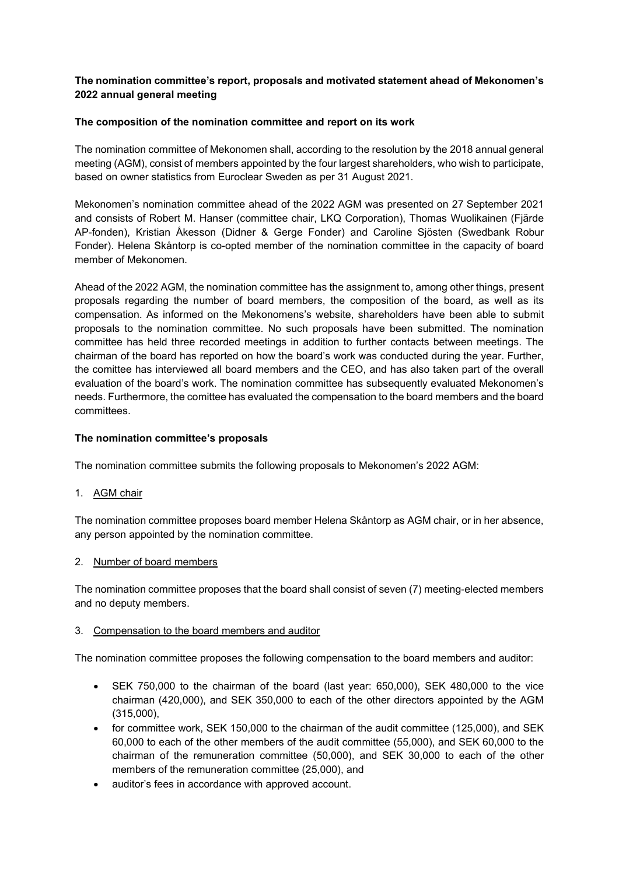# **The nomination committee's report, proposals and motivated statement ahead of Mekonomen's 2022 annual general meeting**

### **The composition of the nomination committee and report on its work**

The nomination committee of Mekonomen shall, according to the resolution by the 2018 annual general meeting (AGM), consist of members appointed by the four largest shareholders, who wish to participate, based on owner statistics from Euroclear Sweden as per 31 August 2021.

Mekonomen's nomination committee ahead of the 2022 AGM was presented on 27 September 2021 and consists of Robert M. Hanser (committee chair, LKQ Corporation), Thomas Wuolikainen (Fjärde AP-fonden), Kristian Åkesson (Didner & Gerge Fonder) and Caroline Sjösten (Swedbank Robur Fonder). Helena Skåntorp is co-opted member of the nomination committee in the capacity of board member of Mekonomen.

Ahead of the 2022 AGM, the nomination committee has the assignment to, among other things, present proposals regarding the number of board members, the composition of the board, as well as its compensation. As informed on the Mekonomens's website, shareholders have been able to submit proposals to the nomination committee. No such proposals have been submitted. The nomination committee has held three recorded meetings in addition to further contacts between meetings. The chairman of the board has reported on how the board's work was conducted during the year. Further, the comittee has interviewed all board members and the CEO, and has also taken part of the overall evaluation of the board's work. The nomination committee has subsequently evaluated Mekonomen's needs. Furthermore, the comittee has evaluated the compensation to the board members and the board committees.

### **The nomination committee's proposals**

The nomination committee submits the following proposals to Mekonomen's 2022 AGM:

1. AGM chair

The nomination committee proposes board member Helena Skåntorp as AGM chair, or in her absence, any person appointed by the nomination committee.

### 2. Number of board members

The nomination committee proposes that the board shall consist of seven (7) meeting-elected members and no deputy members.

### 3. Compensation to the board members and auditor

The nomination committee proposes the following compensation to the board members and auditor:

- SEK 750,000 to the chairman of the board (last year: 650,000), SEK 480,000 to the vice chairman (420,000), and SEK 350,000 to each of the other directors appointed by the AGM (315,000),
- for committee work, SEK 150,000 to the chairman of the audit committee (125,000), and SEK 60,000 to each of the other members of the audit committee (55,000), and SEK 60,000 to the chairman of the remuneration committee (50,000), and SEK 30,000 to each of the other members of the remuneration committee (25,000), and
- auditor's fees in accordance with approved account.